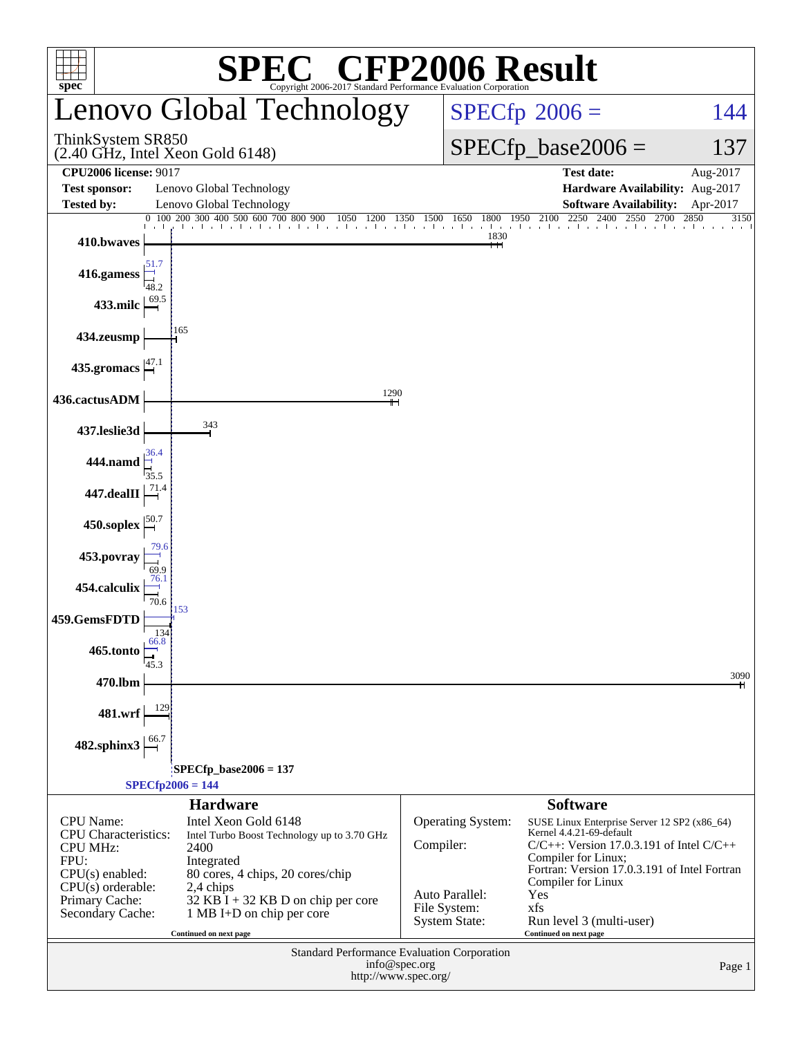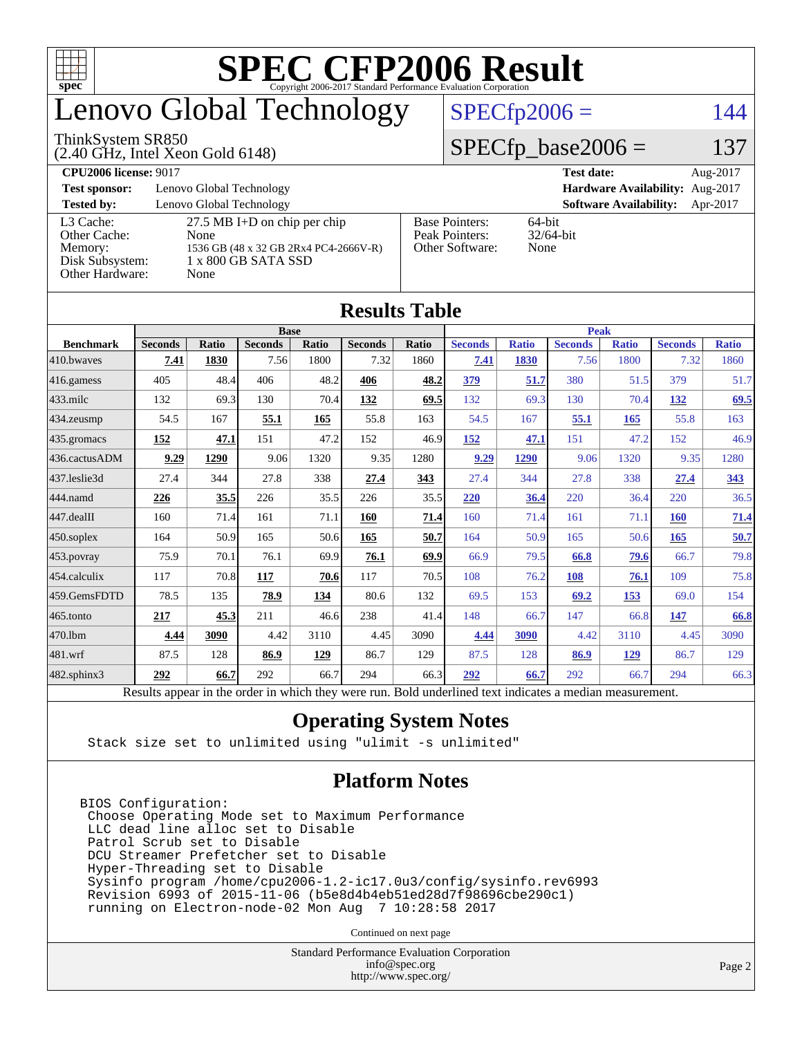

# enovo Global Technology

#### ThinkSystem SR850

(2.40 GHz, Intel Xeon Gold 6148)

### $SPECfp2006 = 144$  $SPECfp2006 = 144$

### $SPECfp\_base2006 = 137$

**[CPU2006 license:](http://www.spec.org/auto/cpu2006/Docs/result-fields.html#CPU2006license)** 9017 **[Test date:](http://www.spec.org/auto/cpu2006/Docs/result-fields.html#Testdate)** Aug-2017 **[Test sponsor:](http://www.spec.org/auto/cpu2006/Docs/result-fields.html#Testsponsor)** Lenovo Global Technology **[Hardware Availability:](http://www.spec.org/auto/cpu2006/Docs/result-fields.html#HardwareAvailability)** Aug-2017 **[Tested by:](http://www.spec.org/auto/cpu2006/Docs/result-fields.html#Testedby)** Lenovo Global Technology **[Software Availability:](http://www.spec.org/auto/cpu2006/Docs/result-fields.html#SoftwareAvailability)** Apr-2017 [L3 Cache:](http://www.spec.org/auto/cpu2006/Docs/result-fields.html#L3Cache) 27.5 MB I+D on chip per chip<br>Other Cache: None [Other Cache:](http://www.spec.org/auto/cpu2006/Docs/result-fields.html#OtherCache) [Memory:](http://www.spec.org/auto/cpu2006/Docs/result-fields.html#Memory) 1536 GB (48 x 32 GB 2Rx4 PC4-2666V-R) [Disk Subsystem:](http://www.spec.org/auto/cpu2006/Docs/result-fields.html#DiskSubsystem) 1 x 800 GB SATA SSD [Other Hardware:](http://www.spec.org/auto/cpu2006/Docs/result-fields.html#OtherHardware) None [Base Pointers:](http://www.spec.org/auto/cpu2006/Docs/result-fields.html#BasePointers) 64-bit<br>Peak Pointers: 32/64-bit [Peak Pointers:](http://www.spec.org/auto/cpu2006/Docs/result-fields.html#PeakPointers) [Other Software:](http://www.spec.org/auto/cpu2006/Docs/result-fields.html#OtherSoftware) None

**[Results Table](http://www.spec.org/auto/cpu2006/Docs/result-fields.html#ResultsTable)**

| Results 1 aple    |                                                                                                          |              |                |       |                |              |                |              |                |              |                |              |
|-------------------|----------------------------------------------------------------------------------------------------------|--------------|----------------|-------|----------------|--------------|----------------|--------------|----------------|--------------|----------------|--------------|
|                   | <b>Base</b>                                                                                              |              |                |       |                | <b>Peak</b>  |                |              |                |              |                |              |
| <b>Benchmark</b>  | <b>Seconds</b>                                                                                           | <b>Ratio</b> | <b>Seconds</b> | Ratio | <b>Seconds</b> | <b>Ratio</b> | <b>Seconds</b> | <b>Ratio</b> | <b>Seconds</b> | <b>Ratio</b> | <b>Seconds</b> | <b>Ratio</b> |
| 410.bwayes        | 7.41                                                                                                     | 1830         | 7.56           | 1800  | 7.32           | 1860         | 7.41           | 1830         | 7.56           | 1800         | 7.32           | 1860         |
| 416.gamess        | 405                                                                                                      | 48.4         | 406            | 48.2  | 406            | 48.2         | 379            | 51.7         | 380            | 51.5         | 379            | 51.7         |
| $433$ .milc       | 132                                                                                                      | 69.3         | 130            | 70.4  | 132            | 69.5         | 132            | 69.3         | 130            | 70.4         | 132            | 69.5         |
| $434$ . zeusmp    | 54.5                                                                                                     | 167          | 55.1           | 165   | 55.8           | 163          | 54.5           | 167          | 55.1           | 165          | 55.8           | 163          |
| 435.gromacs       | 152                                                                                                      | 47.1         | 151            | 47.2  | 152            | 46.9         | 152            | 47.1         | 151            | 47.2         | 152            | 46.9         |
| 436.cactusADM     | 9.29                                                                                                     | 1290         | 9.06           | 1320  | 9.35           | 1280         | 9.29           | 1290         | 9.06           | 1320         | 9.35           | 1280         |
| 437.leslie3d      | 27.4                                                                                                     | 344          | 27.8           | 338   | 27.4           | 343          | 27.4           | 344          | 27.8           | 338          | 27.4           | 343          |
| 444.namd          | 226                                                                                                      | 35.5         | 226            | 35.5  | 226            | 35.5         | 220            | 36.4         | 220            | 36.4         | 220            | 36.5         |
| $447$ .dealII     | 160                                                                                                      | 71.4         | 161            | 71.1  | 160            | 71.4         | 160            | 71.4         | 161            | 71.1         | 160            | 71.4         |
| $450$ .soplex     | 164                                                                                                      | 50.9         | 165            | 50.6  | 165            | 50.7         | 164            | 50.9         | 165            | 50.6         | 165            | 50.7         |
| $453$ .povray     | 75.9                                                                                                     | 70.1         | 76.1           | 69.9  | 76.1           | 69.9         | 66.9           | 79.5         | 66.8           | 79.6         | 66.7           | 79.8         |
| 454.calculix      | 117                                                                                                      | 70.8         | 117            | 70.6  | 117            | 70.5         | 108            | 76.2         | 108            | 76.1         | 109            | 75.8         |
| 459.GemsFDTD      | 78.5                                                                                                     | 135          | 78.9           | 134   | 80.6           | 132          | 69.5           | 153          | 69.2           | 153          | 69.0           | 154          |
| 465.tonto         | 217                                                                                                      | 45.3         | 211            | 46.6  | 238            | 41.4         | 148            | 66.7         | 147            | 66.8         | 147            | 66.8         |
| 470.1bm           | 4.44                                                                                                     | 3090         | 4.42           | 3110  | 4.45           | 3090         | 4.44           | 3090         | 4.42           | 3110         | 4.45           | 3090         |
| 481.wrf           | 87.5                                                                                                     | 128          | 86.9           | 129   | 86.7           | 129          | 87.5           | 128          | 86.9           | 129          | 86.7           | 129          |
| $482$ .sphinx $3$ | 292                                                                                                      | 66.7         | 292            | 66.7  | 294            | 66.3         | 292            | 66.7         | 292            | 66.7         | 294            | 66.3         |
|                   | Results appear in the order in which they were run. Bold underlined text indicates a median measurement. |              |                |       |                |              |                |              |                |              |                |              |

#### **[Operating System Notes](http://www.spec.org/auto/cpu2006/Docs/result-fields.html#OperatingSystemNotes)**

Stack size set to unlimited using "ulimit -s unlimited"

#### **[Platform Notes](http://www.spec.org/auto/cpu2006/Docs/result-fields.html#PlatformNotes)**

BIOS Configuration: Choose Operating Mode set to Maximum Performance LLC dead line alloc set to Disable Patrol Scrub set to Disable DCU Streamer Prefetcher set to Disable Hyper-Threading set to Disable Sysinfo program /home/cpu2006-1.2-ic17.0u3/config/sysinfo.rev6993 Revision 6993 of 2015-11-06 (b5e8d4b4eb51ed28d7f98696cbe290c1) running on Electron-node-02 Mon Aug 7 10:28:58 2017

Continued on next page

Standard Performance Evaluation Corporation [info@spec.org](mailto:info@spec.org) <http://www.spec.org/>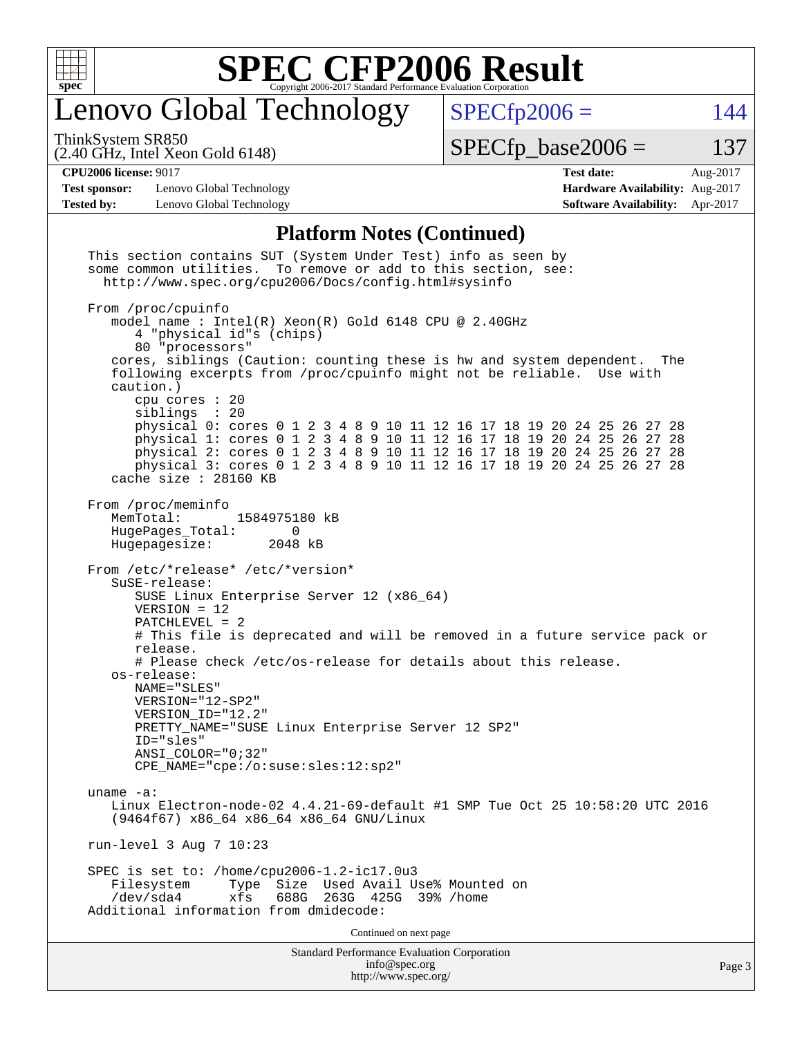

# Lenovo Global Technology

ThinkSystem SR850

(2.40 GHz, Intel Xeon Gold 6148)

 $SPECfp2006 = 144$  $SPECfp2006 = 144$ 

 $SPECTp\_base2006 = 137$ 

**[Test sponsor:](http://www.spec.org/auto/cpu2006/Docs/result-fields.html#Testsponsor)** Lenovo Global Technology **[Hardware Availability:](http://www.spec.org/auto/cpu2006/Docs/result-fields.html#HardwareAvailability)** Aug-2017 **[Tested by:](http://www.spec.org/auto/cpu2006/Docs/result-fields.html#Testedby)** Lenovo Global Technology **[Software Availability:](http://www.spec.org/auto/cpu2006/Docs/result-fields.html#SoftwareAvailability)** Apr-2017

**[CPU2006 license:](http://www.spec.org/auto/cpu2006/Docs/result-fields.html#CPU2006license)** 9017 **[Test date:](http://www.spec.org/auto/cpu2006/Docs/result-fields.html#Testdate)** Aug-2017

### **[Platform Notes \(Continued\)](http://www.spec.org/auto/cpu2006/Docs/result-fields.html#PlatformNotes)**

| <b>Standard Performance Evaluation Corporation</b><br>info@spec.org<br>http://www.spec.org/                                                                                                                                                                                                                                                                          | Page 3 |
|----------------------------------------------------------------------------------------------------------------------------------------------------------------------------------------------------------------------------------------------------------------------------------------------------------------------------------------------------------------------|--------|
| Continued on next page                                                                                                                                                                                                                                                                                                                                               |        |
| SPEC is set to: /home/cpu2006-1.2-ic17.0u3<br>Type Size Used Avail Use% Mounted on<br>Filesystem<br>$/\text{dev/sda4}$<br>688G<br>263G 425G<br>xfs<br>$39\%$ /home<br>Additional information from dmidecode:                                                                                                                                                         |        |
| run-level 3 Aug 7 10:23                                                                                                                                                                                                                                                                                                                                              |        |
| uname $-a$ :<br>Linux Electron-node-02 4.4.21-69-default #1 SMP Tue Oct 25 10:58:20 UTC 2016<br>(9464f67) x86_64 x86_64 x86_64 GNU/Linux                                                                                                                                                                                                                             |        |
| PRETTY_NAME="SUSE Linux Enterprise Server 12 SP2"<br>ID="sles"<br>$ANSI\_COLOR = "0; 32"$<br>CPE_NAME="cpe:/o:suse:sles:12:sp2"                                                                                                                                                                                                                                      |        |
| NAME="SLES"<br>VERSION="12-SP2"<br>VERSION ID="12.2"                                                                                                                                                                                                                                                                                                                 |        |
| # This file is deprecated and will be removed in a future service pack or<br>release.<br># Please check /etc/os-release for details about this release.<br>os-release:                                                                                                                                                                                               |        |
| SUSE Linux Enterprise Server 12 (x86_64)<br>$VERSION = 12$<br>$PATCHLEVEL = 2$                                                                                                                                                                                                                                                                                       |        |
| From /etc/*release* /etc/*version*<br>$S$ uSE-release:                                                                                                                                                                                                                                                                                                               |        |
| From /proc/meminfo<br>MemTotal:<br>1584975180 kB<br>HugePages_Total:<br>0<br>Hugepagesize:<br>2048 kB                                                                                                                                                                                                                                                                |        |
| cpu cores $: 20$<br>siblings : 20<br>physical 0: cores 0 1 2 3 4 8 9 10 11 12 16 17 18 19 20 24 25 26 27 28<br>physical 1: cores 0 1 2 3 4 8 9 10 11 12 16 17 18 19 20 24 25 26 27 28<br>physical 2: cores 0 1 2 3 4 8 9 10 11 12 16 17 18 19 20 24 25 26 27 28<br>physical 3: cores 0 1 2 3 4 8 9 10 11 12 16 17 18 19 20 24 25 26 27 28<br>cache size $: 28160$ KB |        |
| From /proc/cpuinfo<br>model name : Intel(R) Xeon(R) Gold 6148 CPU @ 2.40GHz<br>4 "physical id"s (chips)<br>80 "processors"<br>cores, siblings (Caution: counting these is hw and system dependent.<br>The<br>following excerpts from /proc/cpuinfo might not be reliable. Use with<br>caution.)                                                                      |        |
| This section contains SUT (System Under Test) info as seen by<br>some common utilities. To remove or add to this section, see:<br>http://www.spec.org/cpu2006/Docs/config.html#sysinfo                                                                                                                                                                               |        |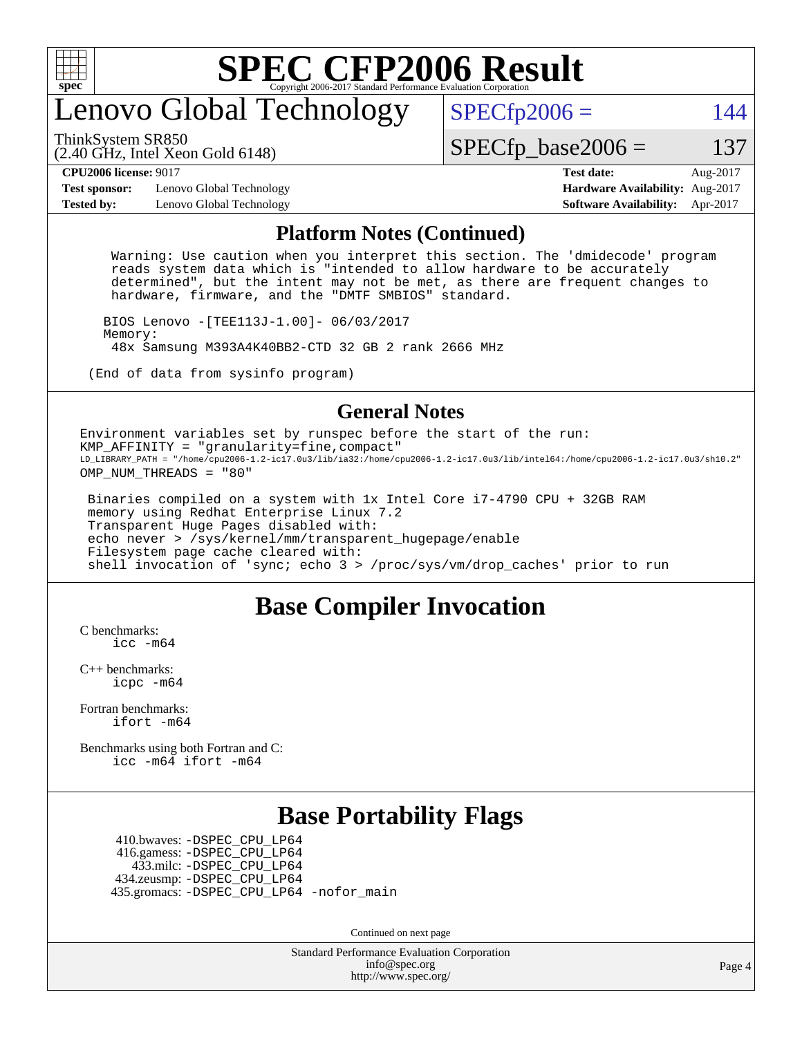

# enovo Global Technology

ThinkSystem SR850

 $SPECfp2006 = 144$  $SPECfp2006 = 144$ 

(2.40 GHz, Intel Xeon Gold 6148)

 $SPECTp\_base2006 = 137$ 

**[CPU2006 license:](http://www.spec.org/auto/cpu2006/Docs/result-fields.html#CPU2006license)** 9017 **[Test date:](http://www.spec.org/auto/cpu2006/Docs/result-fields.html#Testdate)** Aug-2017

**[Test sponsor:](http://www.spec.org/auto/cpu2006/Docs/result-fields.html#Testsponsor)** Lenovo Global Technology **[Hardware Availability:](http://www.spec.org/auto/cpu2006/Docs/result-fields.html#HardwareAvailability)** Aug-2017 **[Tested by:](http://www.spec.org/auto/cpu2006/Docs/result-fields.html#Testedby)** Lenovo Global Technology **[Software Availability:](http://www.spec.org/auto/cpu2006/Docs/result-fields.html#SoftwareAvailability)** Apr-2017

#### **[Platform Notes \(Continued\)](http://www.spec.org/auto/cpu2006/Docs/result-fields.html#PlatformNotes)**

 Warning: Use caution when you interpret this section. The 'dmidecode' program reads system data which is "intended to allow hardware to be accurately determined", but the intent may not be met, as there are frequent changes to hardware, firmware, and the "DMTF SMBIOS" standard.

 BIOS Lenovo -[TEE113J-1.00]- 06/03/2017 Memory: 48x Samsung M393A4K40BB2-CTD 32 GB 2 rank 2666 MHz

(End of data from sysinfo program)

#### **[General Notes](http://www.spec.org/auto/cpu2006/Docs/result-fields.html#GeneralNotes)**

Environment variables set by runspec before the start of the run: KMP\_AFFINITY = "granularity=fine,compact" LD\_LIBRARY\_PATH = "/home/cpu2006-1.2-ic17.0u3/lib/ia32:/home/cpu2006-1.2-ic17.0u3/lib/intel64:/home/cpu2006-1.2-ic17.0u3/sh10.2" OMP NUM THREADS = "80"

 Binaries compiled on a system with 1x Intel Core i7-4790 CPU + 32GB RAM memory using Redhat Enterprise Linux 7.2 Transparent Huge Pages disabled with: echo never > /sys/kernel/mm/transparent\_hugepage/enable Filesystem page cache cleared with: shell invocation of 'sync; echo 3 > /proc/sys/vm/drop\_caches' prior to run

### **[Base Compiler Invocation](http://www.spec.org/auto/cpu2006/Docs/result-fields.html#BaseCompilerInvocation)**

[C benchmarks](http://www.spec.org/auto/cpu2006/Docs/result-fields.html#Cbenchmarks): [icc -m64](http://www.spec.org/cpu2006/results/res2017q4/cpu2006-20170918-49926.flags.html#user_CCbase_intel_icc_64bit_bda6cc9af1fdbb0edc3795bac97ada53)

[C++ benchmarks:](http://www.spec.org/auto/cpu2006/Docs/result-fields.html#CXXbenchmarks) [icpc -m64](http://www.spec.org/cpu2006/results/res2017q4/cpu2006-20170918-49926.flags.html#user_CXXbase_intel_icpc_64bit_fc66a5337ce925472a5c54ad6a0de310)

[Fortran benchmarks](http://www.spec.org/auto/cpu2006/Docs/result-fields.html#Fortranbenchmarks): [ifort -m64](http://www.spec.org/cpu2006/results/res2017q4/cpu2006-20170918-49926.flags.html#user_FCbase_intel_ifort_64bit_ee9d0fb25645d0210d97eb0527dcc06e)

[Benchmarks using both Fortran and C](http://www.spec.org/auto/cpu2006/Docs/result-fields.html#BenchmarksusingbothFortranandC): [icc -m64](http://www.spec.org/cpu2006/results/res2017q4/cpu2006-20170918-49926.flags.html#user_CC_FCbase_intel_icc_64bit_bda6cc9af1fdbb0edc3795bac97ada53) [ifort -m64](http://www.spec.org/cpu2006/results/res2017q4/cpu2006-20170918-49926.flags.html#user_CC_FCbase_intel_ifort_64bit_ee9d0fb25645d0210d97eb0527dcc06e)

### **[Base Portability Flags](http://www.spec.org/auto/cpu2006/Docs/result-fields.html#BasePortabilityFlags)**

 410.bwaves: [-DSPEC\\_CPU\\_LP64](http://www.spec.org/cpu2006/results/res2017q4/cpu2006-20170918-49926.flags.html#suite_basePORTABILITY410_bwaves_DSPEC_CPU_LP64) 416.gamess: [-DSPEC\\_CPU\\_LP64](http://www.spec.org/cpu2006/results/res2017q4/cpu2006-20170918-49926.flags.html#suite_basePORTABILITY416_gamess_DSPEC_CPU_LP64) 433.milc: [-DSPEC\\_CPU\\_LP64](http://www.spec.org/cpu2006/results/res2017q4/cpu2006-20170918-49926.flags.html#suite_basePORTABILITY433_milc_DSPEC_CPU_LP64) 434.zeusmp: [-DSPEC\\_CPU\\_LP64](http://www.spec.org/cpu2006/results/res2017q4/cpu2006-20170918-49926.flags.html#suite_basePORTABILITY434_zeusmp_DSPEC_CPU_LP64) 435.gromacs: [-DSPEC\\_CPU\\_LP64](http://www.spec.org/cpu2006/results/res2017q4/cpu2006-20170918-49926.flags.html#suite_basePORTABILITY435_gromacs_DSPEC_CPU_LP64) [-nofor\\_main](http://www.spec.org/cpu2006/results/res2017q4/cpu2006-20170918-49926.flags.html#user_baseLDPORTABILITY435_gromacs_f-nofor_main)

Continued on next page

Standard Performance Evaluation Corporation [info@spec.org](mailto:info@spec.org) <http://www.spec.org/>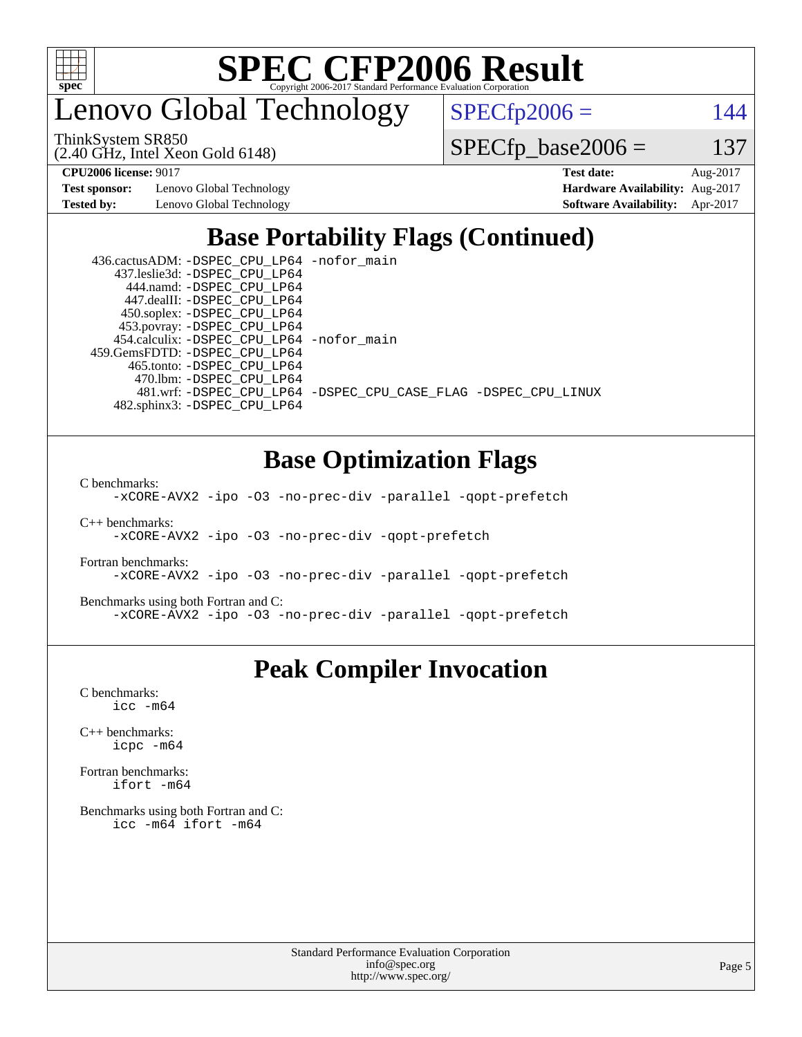

enovo Global Technology

ThinkSystem SR850

(2.40 GHz, Intel Xeon Gold 6148)

 $SPECfp2006 = 144$  $SPECfp2006 = 144$ 

 $SPECfp\_base2006 = 137$ 

**[Test sponsor:](http://www.spec.org/auto/cpu2006/Docs/result-fields.html#Testsponsor)** Lenovo Global Technology **[Hardware Availability:](http://www.spec.org/auto/cpu2006/Docs/result-fields.html#HardwareAvailability)** Aug-2017 **[Tested by:](http://www.spec.org/auto/cpu2006/Docs/result-fields.html#Testedby)** Lenovo Global Technology **[Software Availability:](http://www.spec.org/auto/cpu2006/Docs/result-fields.html#SoftwareAvailability)** Apr-2017

**[CPU2006 license:](http://www.spec.org/auto/cpu2006/Docs/result-fields.html#CPU2006license)** 9017 **[Test date:](http://www.spec.org/auto/cpu2006/Docs/result-fields.html#Testdate)** Aug-2017

## **[Base Portability Flags \(Continued\)](http://www.spec.org/auto/cpu2006/Docs/result-fields.html#BasePortabilityFlags)**

| 436.cactusADM: - DSPEC CPU LP64 - nofor main |                                                                |
|----------------------------------------------|----------------------------------------------------------------|
| 437.leslie3d: -DSPEC CPU LP64                |                                                                |
| 444.namd: - DSPEC CPU LP64                   |                                                                |
| 447.dealII: -DSPEC CPU LP64                  |                                                                |
| 450.soplex: -DSPEC_CPU_LP64                  |                                                                |
| 453.povray: -DSPEC_CPU_LP64                  |                                                                |
| 454.calculix: - DSPEC CPU LP64 - nofor main  |                                                                |
| 459.GemsFDTD: - DSPEC_CPU_LP64               |                                                                |
| 465.tonto: -DSPEC CPU LP64                   |                                                                |
| 470.1bm: - DSPEC CPU LP64                    |                                                                |
|                                              | 481.wrf: -DSPEC CPU_LP64 -DSPEC_CPU_CASE_FLAG -DSPEC_CPU_LINUX |
| 482.sphinx3: -DSPEC CPU LP64                 |                                                                |

## **[Base Optimization Flags](http://www.spec.org/auto/cpu2006/Docs/result-fields.html#BaseOptimizationFlags)**

[C benchmarks](http://www.spec.org/auto/cpu2006/Docs/result-fields.html#Cbenchmarks):

[-xCORE-AVX2](http://www.spec.org/cpu2006/results/res2017q4/cpu2006-20170918-49926.flags.html#user_CCbase_f-xCORE-AVX2) [-ipo](http://www.spec.org/cpu2006/results/res2017q4/cpu2006-20170918-49926.flags.html#user_CCbase_f-ipo) [-O3](http://www.spec.org/cpu2006/results/res2017q4/cpu2006-20170918-49926.flags.html#user_CCbase_f-O3) [-no-prec-div](http://www.spec.org/cpu2006/results/res2017q4/cpu2006-20170918-49926.flags.html#user_CCbase_f-no-prec-div) [-parallel](http://www.spec.org/cpu2006/results/res2017q4/cpu2006-20170918-49926.flags.html#user_CCbase_f-parallel) [-qopt-prefetch](http://www.spec.org/cpu2006/results/res2017q4/cpu2006-20170918-49926.flags.html#user_CCbase_f-qopt-prefetch)

[C++ benchmarks:](http://www.spec.org/auto/cpu2006/Docs/result-fields.html#CXXbenchmarks) [-xCORE-AVX2](http://www.spec.org/cpu2006/results/res2017q4/cpu2006-20170918-49926.flags.html#user_CXXbase_f-xCORE-AVX2) [-ipo](http://www.spec.org/cpu2006/results/res2017q4/cpu2006-20170918-49926.flags.html#user_CXXbase_f-ipo) [-O3](http://www.spec.org/cpu2006/results/res2017q4/cpu2006-20170918-49926.flags.html#user_CXXbase_f-O3) [-no-prec-div](http://www.spec.org/cpu2006/results/res2017q4/cpu2006-20170918-49926.flags.html#user_CXXbase_f-no-prec-div) [-qopt-prefetch](http://www.spec.org/cpu2006/results/res2017q4/cpu2006-20170918-49926.flags.html#user_CXXbase_f-qopt-prefetch)

[Fortran benchmarks](http://www.spec.org/auto/cpu2006/Docs/result-fields.html#Fortranbenchmarks): [-xCORE-AVX2](http://www.spec.org/cpu2006/results/res2017q4/cpu2006-20170918-49926.flags.html#user_FCbase_f-xCORE-AVX2) [-ipo](http://www.spec.org/cpu2006/results/res2017q4/cpu2006-20170918-49926.flags.html#user_FCbase_f-ipo) [-O3](http://www.spec.org/cpu2006/results/res2017q4/cpu2006-20170918-49926.flags.html#user_FCbase_f-O3) [-no-prec-div](http://www.spec.org/cpu2006/results/res2017q4/cpu2006-20170918-49926.flags.html#user_FCbase_f-no-prec-div) [-parallel](http://www.spec.org/cpu2006/results/res2017q4/cpu2006-20170918-49926.flags.html#user_FCbase_f-parallel) [-qopt-prefetch](http://www.spec.org/cpu2006/results/res2017q4/cpu2006-20170918-49926.flags.html#user_FCbase_f-qopt-prefetch)

[Benchmarks using both Fortran and C](http://www.spec.org/auto/cpu2006/Docs/result-fields.html#BenchmarksusingbothFortranandC): [-xCORE-AVX2](http://www.spec.org/cpu2006/results/res2017q4/cpu2006-20170918-49926.flags.html#user_CC_FCbase_f-xCORE-AVX2) [-ipo](http://www.spec.org/cpu2006/results/res2017q4/cpu2006-20170918-49926.flags.html#user_CC_FCbase_f-ipo) [-O3](http://www.spec.org/cpu2006/results/res2017q4/cpu2006-20170918-49926.flags.html#user_CC_FCbase_f-O3) [-no-prec-div](http://www.spec.org/cpu2006/results/res2017q4/cpu2006-20170918-49926.flags.html#user_CC_FCbase_f-no-prec-div) [-parallel](http://www.spec.org/cpu2006/results/res2017q4/cpu2006-20170918-49926.flags.html#user_CC_FCbase_f-parallel) [-qopt-prefetch](http://www.spec.org/cpu2006/results/res2017q4/cpu2006-20170918-49926.flags.html#user_CC_FCbase_f-qopt-prefetch)

### **[Peak Compiler Invocation](http://www.spec.org/auto/cpu2006/Docs/result-fields.html#PeakCompilerInvocation)**

[C benchmarks](http://www.spec.org/auto/cpu2006/Docs/result-fields.html#Cbenchmarks): [icc -m64](http://www.spec.org/cpu2006/results/res2017q4/cpu2006-20170918-49926.flags.html#user_CCpeak_intel_icc_64bit_bda6cc9af1fdbb0edc3795bac97ada53)

[C++ benchmarks:](http://www.spec.org/auto/cpu2006/Docs/result-fields.html#CXXbenchmarks) [icpc -m64](http://www.spec.org/cpu2006/results/res2017q4/cpu2006-20170918-49926.flags.html#user_CXXpeak_intel_icpc_64bit_fc66a5337ce925472a5c54ad6a0de310)

[Fortran benchmarks](http://www.spec.org/auto/cpu2006/Docs/result-fields.html#Fortranbenchmarks): [ifort -m64](http://www.spec.org/cpu2006/results/res2017q4/cpu2006-20170918-49926.flags.html#user_FCpeak_intel_ifort_64bit_ee9d0fb25645d0210d97eb0527dcc06e)

[Benchmarks using both Fortran and C](http://www.spec.org/auto/cpu2006/Docs/result-fields.html#BenchmarksusingbothFortranandC): [icc -m64](http://www.spec.org/cpu2006/results/res2017q4/cpu2006-20170918-49926.flags.html#user_CC_FCpeak_intel_icc_64bit_bda6cc9af1fdbb0edc3795bac97ada53) [ifort -m64](http://www.spec.org/cpu2006/results/res2017q4/cpu2006-20170918-49926.flags.html#user_CC_FCpeak_intel_ifort_64bit_ee9d0fb25645d0210d97eb0527dcc06e)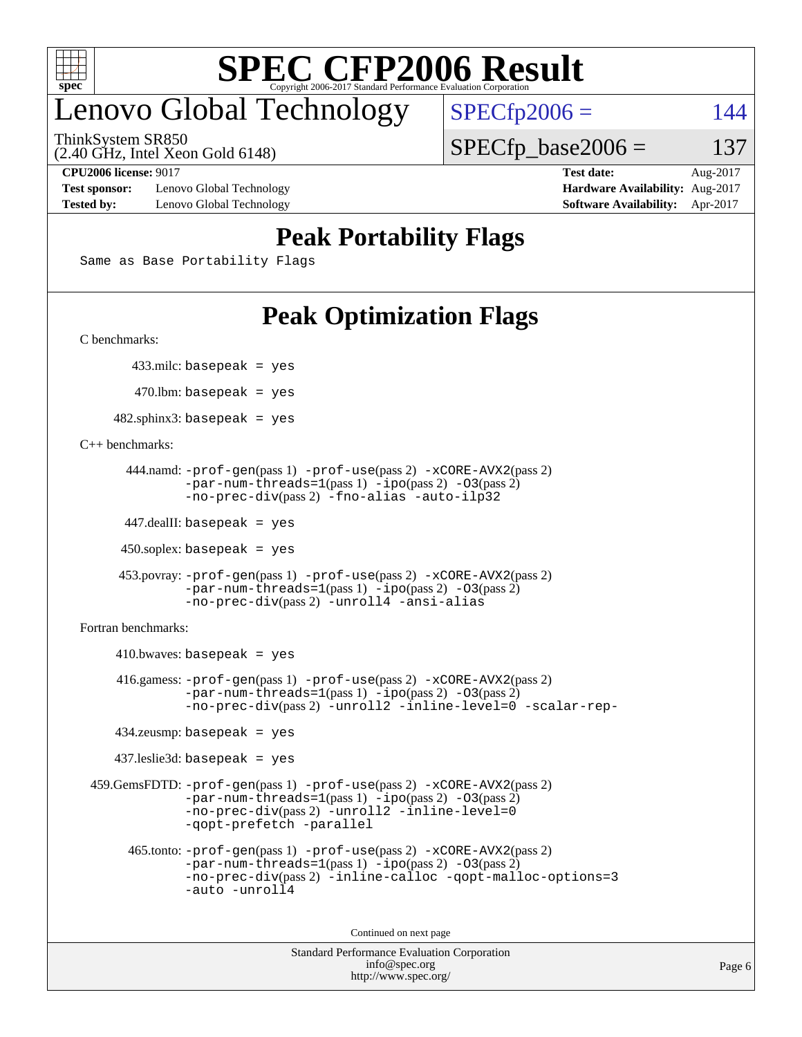

# enovo Global Technology

ThinkSystem SR850

(2.40 GHz, Intel Xeon Gold 6148)

 $SPECfp2006 = 144$  $SPECfp2006 = 144$  $SPECTp\_base2006 = 137$ 

**[Test sponsor:](http://www.spec.org/auto/cpu2006/Docs/result-fields.html#Testsponsor)** Lenovo Global Technology **[Hardware Availability:](http://www.spec.org/auto/cpu2006/Docs/result-fields.html#HardwareAvailability)** Aug-2017 **[Tested by:](http://www.spec.org/auto/cpu2006/Docs/result-fields.html#Testedby)** Lenovo Global Technology **[Software Availability:](http://www.spec.org/auto/cpu2006/Docs/result-fields.html#SoftwareAvailability)** Apr-2017

**[CPU2006 license:](http://www.spec.org/auto/cpu2006/Docs/result-fields.html#CPU2006license)** 9017 **[Test date:](http://www.spec.org/auto/cpu2006/Docs/result-fields.html#Testdate)** Aug-2017

## **[Peak Portability Flags](http://www.spec.org/auto/cpu2006/Docs/result-fields.html#PeakPortabilityFlags)**

Same as Base Portability Flags

# **[Peak Optimization Flags](http://www.spec.org/auto/cpu2006/Docs/result-fields.html#PeakOptimizationFlags)**

[C benchmarks](http://www.spec.org/auto/cpu2006/Docs/result-fields.html#Cbenchmarks):

433.milc: basepeak = yes

 $470.$ lbm: basepeak = yes

 $482$ .sphinx3: basepeak = yes

[C++ benchmarks:](http://www.spec.org/auto/cpu2006/Docs/result-fields.html#CXXbenchmarks)

```
 444.namd: -prof-gen(pass 1) -prof-use(pass 2) -xCORE-AVX2(pass 2)
       -par-num-threads=1(pass 1) -ipo(pass 2) -O3(pass 2)
       -no-prec-div(pass 2) -fno-alias -auto-ilp32
```
447.dealII: basepeak = yes

 $450$ .soplex: basepeak = yes

```
 453.povray: -prof-gen(pass 1) -prof-use(pass 2) -xCORE-AVX2(pass 2)
        -par-num-threads=1-ipo-O3(pass 2)-no-prec-div(pass 2) -unroll4 -ansi-alias
```
[Fortran benchmarks](http://www.spec.org/auto/cpu2006/Docs/result-fields.html#Fortranbenchmarks):

```
410.bwaves: basepeak = yes 416.gamess: -prof-gen(pass 1) -prof-use(pass 2) -xCORE-AVX2(pass 2)
           -par-num-threads=1-ipo-O3(pass 2)-no-prec-div(pass 2) -unroll2 -inline-level=0 -scalar-rep-
   434.zeusmp: basepeak = yes
   437.leslie3d: basepeak = yes
459.GemsFDTD: -prof-gen(pass 1) -prof-use(pass 2) -xCORE-AVX2(pass 2)
           -par-num-threads=1-ipo-O3(pass 2)-no-prec-div(pass 2) -unroll2 -inline-level=0
           -qopt-prefetch -parallel
     465.tonto: -prof-gen(pass 1) -prof-use(pass 2) -xCORE-AVX2(pass 2)
           -par-num-threads=1(pass 1) -ipo(pass 2) -O3(pass 2)
           -no-prec-div-inline-calloc-qopt-malloc-options=3
           -auto -unroll4
```
Continued on next page

```
Standard Performance Evaluation Corporation
            info@spec.org
          http://www.spec.org/
```